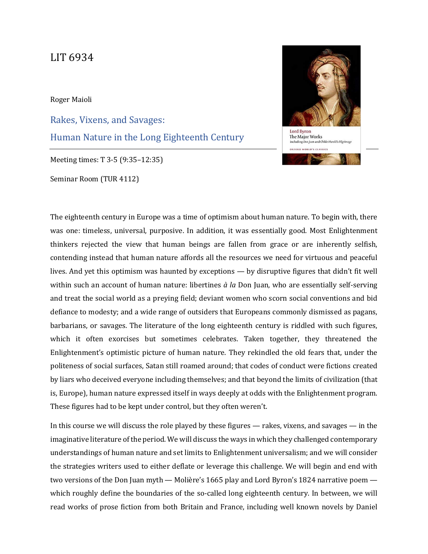## LIT 6934

Roger Maioli

Rakes, Vixens, and Savages: Human Nature in the Long Eighteenth Century

Meeting times: T 3-5 (9:35–12:35)

Seminar Room (TUR 4112)



The eighteenth century in Europe was a time of optimism about human nature. To begin with, there was one: timeless, universal, purposive. In addition, it was essentially good. Most Enlightenment thinkers rejected the view that human beings are fallen from grace or are inherently selfish, contending instead that human nature affords all the resources we need for virtuous and peaceful lives. And yet this optimism was haunted by exceptions — by disruptive figures that didn't fit well within such an account of human nature: libertines *à la* Don Juan, who are essentially self-serving and treat the social world as a preying field; deviant women who scorn social conventions and bid defiance to modesty; and a wide range of outsiders that Europeans commonly dismissed as pagans, barbarians, or savages. The literature of the long eighteenth century is riddled with such figures, which it often exorcises but sometimes celebrates. Taken together, they threatened the Enlightenment's optimistic picture of human nature. They rekindled the old fears that, under the politeness of social surfaces, Satan still roamed around; that codes of conduct were fictions created by liars who deceived everyone including themselves; and that beyond the limits of civilization (that is, Europe), human nature expressed itself in ways deeply at odds with the Enlightenment program. These figures had to be kept under control, but they often weren't.

In this course we will discuss the role played by these figures — rakes, vixens, and savages — in the imaginative literature of the period. We will discuss the ways in which they challenged contemporary understandings of human nature and set limits to Enlightenment universalism; and we will consider the strategies writers used to either deflate or leverage this challenge. We will begin and end with two versions of the Don Juan myth — Molière's 1665 play and Lord Byron's 1824 narrative poem which roughly define the boundaries of the so-called long eighteenth century. In between, we will read works of prose fiction from both Britain and France, including well known novels by Daniel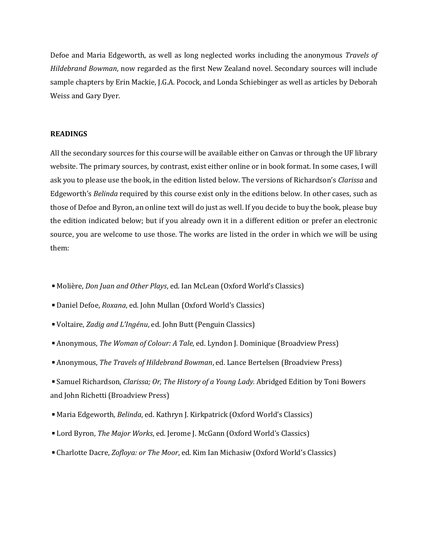Defoe and Maria Edgeworth, as well as long neglected works including the anonymous *Travels of Hildebrand Bowman*, now regarded as the first New Zealand novel. Secondary sources will include sample chapters by Erin Mackie, J.G.A. Pocock, and Londa Schiebinger as well as articles by Deborah Weiss and Gary Dyer.

## **READINGS**

All the secondary sources for this course will be available either on Canvas or through the UF library website. The primary sources, by contrast, exist either online or in book format. In some cases, I will ask you to please use the book, in the edition listed below. The versions of Richardson's *Clarissa* and Edgeworth's *Belinda* required by this course exist only in the editions below. In other cases, such as those of Defoe and Byron, an online text will do just as well. If you decide to buy the book, please buy the edition indicated below; but if you already own it in a different edition or prefer an electronic source, you are welcome to use those. The works are listed in the order in which we will be using them:

- Molière, *Don Juan and Other Plays*, ed. Ian McLean (Oxford World's Classics)
- Daniel Defoe, *Roxana*, ed. John Mullan (Oxford World's Classics)
- ◾Voltaire, *Zadig and L'Ingénu*, ed. John Butt (Penguin Classics)
- Anonymous, *The Woman of Colour: A Tale*, ed. Lyndon J. Dominique (Broadview Press)
- ◾Anonymous, *The Travels of Hildebrand Bowman*, ed. Lance Bertelsen (Broadview Press)

■ Samuel Richardson, *Clarissa; Or, The History of a Young Lady.* Abridged Edition by Toni Bowers and John Richetti (Broadview Press)

- Maria Edgeworth, *Belinda*, ed. Kathryn J. Kirkpatrick (Oxford World's Classics)
- Lord Byron, *The Major Works*, ed. Jerome J. McGann (Oxford World's Classics)
- ◾Charlotte Dacre, *Zofloya: or The Moor*, ed. Kim Ian Michasiw (Oxford World's Classics)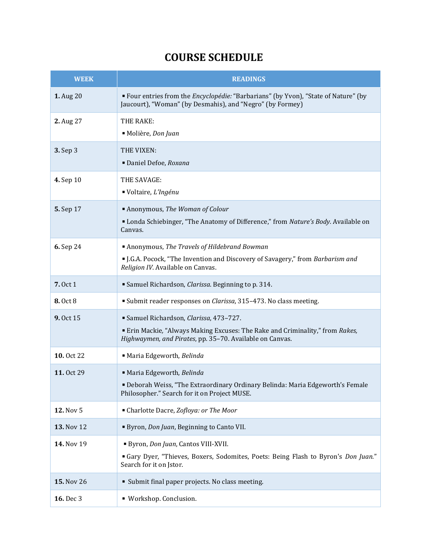## **COURSE SCHEDULE**

| <b>WEEK</b> | <b>READINGS</b>                                                                                                                                                                  |
|-------------|----------------------------------------------------------------------------------------------------------------------------------------------------------------------------------|
| 1. Aug 20   | " Four entries from the <i>Encyclopédie:</i> "Barbarians" (by Yvon), "State of Nature" (by<br>Jaucourt), "Woman" (by Desmahis), and "Negro" (by Formey)                          |
| 2. Aug 27   | THE RAKE:<br>Molière, Don Juan                                                                                                                                                   |
| 3. Sep 3    | THE VIXEN:<br>Daniel Defoe, Roxana                                                                                                                                               |
| 4. Sep 10   | THE SAVAGE:<br>■ Voltaire, L'Ingénu                                                                                                                                              |
| 5. Sep 17   | Anonymous, The Woman of Colour<br>" Londa Schiebinger, "The Anatomy of Difference," from Nature's Body. Available on<br>Canvas.                                                  |
| 6. Sep 24   | Anonymous, The Travels of Hildebrand Bowman<br>I.G.A. Pocock, "The Invention and Discovery of Savagery," from Barbarism and<br>Religion IV. Available on Canvas.                 |
| 7.0ct 1     | Samuel Richardson, Clarissa. Beginning to p. 314.                                                                                                                                |
| 8.0ct8      | Submit reader responses on Clarissa, 315-473. No class meeting.                                                                                                                  |
| 9. Oct 15   | Samuel Richardson, Clarissa, 473-727.<br>Erin Mackie, "Always Making Excuses: The Rake and Criminality," from Rakes,<br>Highwaymen, and Pirates, pp. 35-70. Available on Canvas. |
| 10.0ct 22   | Maria Edgeworth, Belinda                                                                                                                                                         |
| 11. Oct 29  | Maria Edgeworth, Belinda<br>Deborah Weiss, "The Extraordinary Ordinary Belinda: Maria Edgeworth's Female<br>Philosopher." Search for it on Project MUSE.                         |
| 12. Nov 5   | • Charlotte Dacre, Zofloya: or The Moor                                                                                                                                          |
| 13. Nov 12  | Byron, Don Juan, Beginning to Canto VII.                                                                                                                                         |
| 14. Nov 19  | Byron, Don Juan, Cantos VIII-XVII.<br>"Gary Dyer, "Thieves, Boxers, Sodomites, Poets: Being Flash to Byron's Don Juan."<br>Search for it on Jstor.                               |
| 15. Nov 26  | • Submit final paper projects. No class meeting.                                                                                                                                 |
| 16. Dec 3   | · Workshop. Conclusion.                                                                                                                                                          |